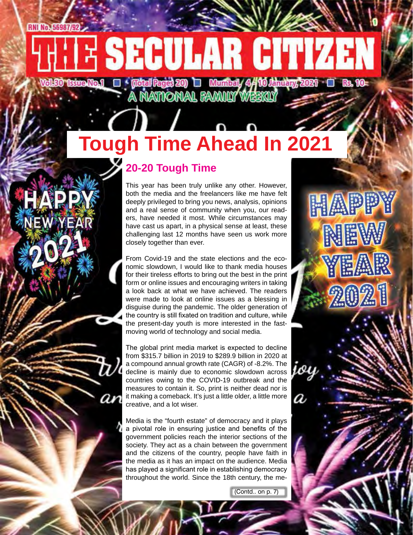**ESECULAR CITIZEN** 

Voled tenental  $\square$  (total register)  $\square$  Munitely 4/10 that the zeen  $\square$  is re-

# **Tough Time Ahead In 2021**

### **20-20 Tough Time**

This year has been truly unlike any other. However, both the media and the freelancers like me have felt deeply privileged to bring you news, analysis, opinions and a real sense of community when you, our readers, have needed it most. While circumstances may have cast us apart, in a physical sense at least, these challenging last 12 months have seen us work more closely together than ever.

HAPPY

NEW

<u>Year</u>

 $202$ 

From Covid-19 and the state elections and the economic slowdown, I would like to thank media houses for their tireless efforts to bring out the best in the print form or online issues and encouraging writers in taking a look back at what we have achieved. The readers were made to look at online issues as a blessing in disguise during the pandemic. The older generation of the country is still fixated on tradition and culture, while the present-day youth is more interested in the fastmoving world of technology and social media.

The global print media market is expected to decline from \$315.7 billion in 2019 to \$289.9 billion in 2020 at a compound annual growth rate (CAGR) of -8.2%. The decline is mainly due to economic slowdown across countries owing to the COVID-19 outbreak and the measures to contain it. So, print is neither dead nor is it making a comeback. It's just a little older, a little more creative, and a lot wiser.

Media is the "fourth estate" of democracy and it plays a pivotal role in ensuring justice and benefits of the government policies reach the interior sections of the society. They act as a chain between the government and the citizens of the country, people have faith in the media as it has an impact on the audience. Media has played a significant role in establishing democracy throughout the world. Since the 18th century, the me-

(Contd.. on p. 7)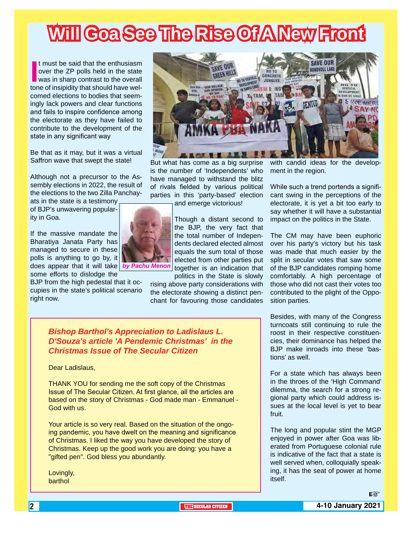# **Will Goa See The Rise Of A New Front**

If must be said that the enthusiasm<br>
over the ZP polls held in the state<br>
was in sharp contrast to the overall<br>
tone of insipidity that should have welt must be said that the enthusiasm over the ZP polls held in the state was in sharp contrast to the overall comed elections to bodies that seemingly lack powers and clear functions and fails to inspire confidence among the electorate as they have failed to contribute to the development of the state in any significant way

Be that as it may, but it was a virtual Saffron wave that swept the state!

Although not a precursor to the Assembly elections in 2022, the result of the elections to the two Zilla Panchay-

ats in the state is a testimony of BJP's unwavering popularity in Goa.

If the massive mandate the Bharatiya Janata Party has managed to secure in these polls is anything to go by, it does appear that it will take *by Pachu Menon*

some efforts to dislodge the BJP from the high pedestal that it occupies in the state's political scenario right now.



But what has come as a big surprise is the number of 'Independents' who have managed to withstand the blitz of rivals fielded by various political parties in this 'party-based' election

and emerge victorious!

Though a distant second to the BJP, the very fact that the total number of Independents declared elected almost equals the sum total of those elected from other parties put together is an indication that

politics in the State is slowly rising above party considerations with the electorate showing a distinct penchant for favouring those candidates

with candid ideas for the development in the region.

While such a trend portends a significant swing in the perceptions of the electorate, it is yet a bit too early to say whether it will have a substantial impact on the politics in the State.

The CM may have been euphoric over his party's victory but his task was made that much easier by the split in secular votes that saw some of the BJP candidates romping home comfortably. A high percentage of those who did not cast their votes too contributed to the plight of the Opposition parties.

#### *Bishop Barthol's Appreciation to Ladislaus L. D'Souza's article 'A Pendemic Christmas' in the Christmas Issue of The Secular Citizen*

#### Dear Ladislaus,

THANK YOU for sending me the soft copy of the Christmas Issue of The Secular Citizen. At first glance, all the articles are based on the story of Christmas - God made man - Emmanuel - God with us.

Your article is so very real. Based on the situation of the ongoing pandemic, you have dwelt on the meaning and significance of Christmas. I liked the way you have developed the story of Christmas. Keep up the good work you are doing: you have a "gifted pen". God bless you abundantly.

Lovingly, barthol

Besides, with many of the Congress turncoats still continuing to rule the roost in their respective constituencies, their dominance has helped the BJP make inroads into these 'bastions' as well.

For a state which has always been in the throes of the 'High Command' dilemma, the search for a strong regional party which could address issues at the local level is yet to bear fruit.

The long and popular stint the MGP enjoyed in power after Goa was liberated from Portuguese colonial rule is indicative of the fact that a state is well served when, colloquially speaking, it has the seat of power at home itself.

 $R$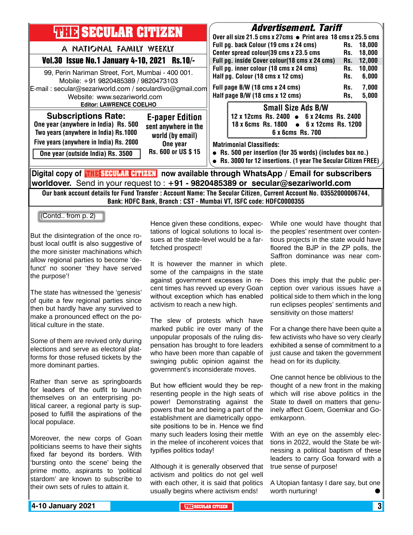| <b>THIR SECULAR CITIZEN</b>                                                                                                                                                             | <i><b>Advertisement. Tariff</b></i><br>Over all size 21.5 cms x 27cms ● Print area 18 cms x 25.5 cms                                                            |                                |
|-----------------------------------------------------------------------------------------------------------------------------------------------------------------------------------------|-----------------------------------------------------------------------------------------------------------------------------------------------------------------|--------------------------------|
| A NATIONAL FAMILY WEEKLY                                                                                                                                                                | Full pg. back Colour (19 cms x 24 cms)                                                                                                                          | 18,000<br>Rs.                  |
| Vol.30 Issue No.1 January 4-10, 2021 Rs.10/-                                                                                                                                            | Center spread colour(39 cms x 23.5 cms<br>Full pg. inside Cover colour(18 cms x 24 cms)                                                                         | 18,000<br>Rs.<br>12,000<br>Rs. |
| 99, Perin Nariman Street, Fort, Mumbai - 400 001.<br>Mobile: +91 9820485389 / 9820473103                                                                                                | Full pg. inner colour (18 cms x 24 cms)<br>Half pg. Colour (18 cms x 12 cms)                                                                                    | 10,000<br>Rs.<br>6,000<br>Rs.  |
| E-mail: secular@sezariworld.com / seculardivo@gmail.com<br>Website: www.sezariworld.com                                                                                                 | Full page B/W (18 cms x 24 cms)<br>Half page B/W (18 cms x 12 cms)                                                                                              | 7,000<br>Rs.<br>5,000<br>Rs,   |
| <b>Editor: LAWRENCE COELHO</b>                                                                                                                                                          | <b>Small Size Ads B/W</b>                                                                                                                                       |                                |
| <b>Subscriptions Rate:</b><br><b>E-paper Edition</b><br>One year (anywhere in India) Rs. 500<br>sent anywhere in the<br>Two years (anywhere in India) Rs.1000<br>world (by email)       | 12 x 12cms Rs. 2400 • 6 x 24cms Rs. 2400<br>18 x 6cms Rs. 1800 • 6 x 12cms Rs. 1200<br>6 x 6cms Rs. 700                                                         |                                |
| Five years (anywhere in India) Rs. 2000<br>One year<br>Rs. 600 or US \$15<br>One year (outside India) Rs. 3500                                                                          | <b>Matrimonial Classifieds:</b><br>• Rs. 500 per insertion (for 35 words) (includes box no.)<br>• Rs. 3000 for 12 insertions. (1 year The Secular Citizen FREE) |                                |
| Digital copy of <b>THE SECULAR CITIZEN</b> now available through WhatsApp / Email for subscribers                                                                                       |                                                                                                                                                                 |                                |
| worldover. Send in your request to : +91 - 9820485389 or secular@sezariworld.com                                                                                                        |                                                                                                                                                                 |                                |
| Our bank account details for Fund Transfer : Account Name: The Secular Citizen, Current Account No. 03552000006744,<br>Bank: HDFC Bank, Branch: CST - Mumbai VT, ISFC code: HDFC0000355 |                                                                                                                                                                 |                                |
| (Contd from p. 2)                                                                                                                                                                       |                                                                                                                                                                 |                                |

But the disintegration of the once robust local outfit is also suggestive of the more sinister machinations which allow regional parties to become 'defunct' no sooner 'they have served the purpose'!

The state has witnessed the 'genesis' of quite a few regional parties since then but hardly have any survived to make a pronounced effect on the political culture in the state.

Some of them are revived only during elections and serve as electoral platforms for those refused tickets by the more dominant parties.

Rather than serve as springboards for leaders of the outfit to launch themselves on an enterprising political career, a regional party is supposed to fulfill the aspirations of the local populace.

Moreover, the new corps of Goan politicians seems to have their sights fixed far beyond its borders. With 'bursting onto the scene' being the prime motto, aspirants to 'political stardom' are known to subscribe to their own sets of rules to attain it.

Hence given these conditions, expectations of logical solutions to local issues at the state-level would be a farfetched prospect!

It is however the manner in which some of the campaigns in the state against government excesses in recent times has revved up every Goan without exception which has enabled activism to reach a new high.

The slew of protests which have marked public ire over many of the unpopular proposals of the ruling dispensation has brought to fore leaders who have been more than capable of swinging public opinion against the government's inconsiderate moves.

But how efficient would they be representing people in the high seats of power! Demonstrating against the powers that be and being a part of the establishment are diametrically opposite positions to be in. Hence we find many such leaders losing their mettle in the melee of incoherent voices that typifies politics today!

Although it is generally observed that activism and politics do not gel well with each other, it is said that politics usually begins where activism ends!

While one would have thought that the peoples' resentment over contentious projects in the state would have floored the BJP in the ZP polls, the Saffron dominance was near complete.

Does this imply that the public perception over various issues have a political side to them which in the long run eclipses peoples' sentiments and sensitivity on those matters!

For a change there have been quite a few activists who have so very clearly exhibited a sense of commitment to a just cause and taken the government head on for its duplicity.

One cannot hence be oblivious to the thought of a new front in the making which will rise above politics in the State to dwell on matters that genuinely affect Goem, Goemkar and Goemkarponn.

With an eye on the assembly elections in 2022, would the State be witnessing a political baptism of these leaders to carry Goa forward with a true sense of purpose!

A Utopian fantasy I dare say, but one worth nurturing!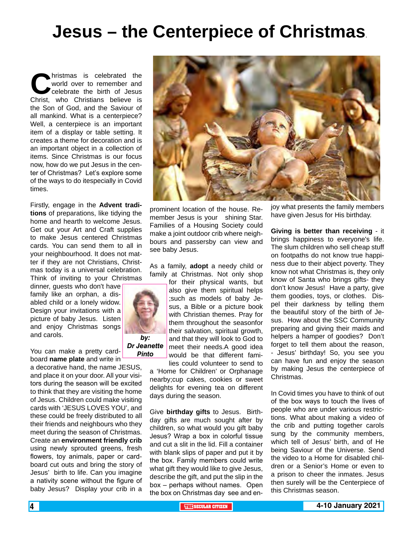## **Jesus – the Centerpiece of Christmas**.

**Christmas is celebrated the world over to remember and celebrate the birth of Jesus Christi, who Christians believe is** world over to remember and celebrate the birth of Jesus the Son of God, and the Saviour of all mankind. What is a centerpiece? Well, a centerpiece is an important item of a display or table setting. It creates a theme for decoration and is an important object in a collection of items. Since Christmas is our focus now, how do we put Jesus in the center of Christmas? Let's explore some of the ways to do itespecially in Covid times.

Firstly, engage in the **Advent traditions** of preparations, like tidying the home and hearth to welcome Jesus. Get out your Art and Craft supplies to make Jesus centered Christmas cards. You can send them to all in your neighbourhood. It does not matter if they are not Christians, Christmas today is a universal celebration. Think of inviting to your Christmas

dinner, guests who don't have family like an orphan, a disabled child or a lonely widow. Design your invitations with a picture of baby Jesus. Listen and enjoy Christmas songs and carols.

You can make a pretty cardboard **name plate** and write in

a decorative hand, the name JESUS, and place it on your door. All your visitors during the season will be excited to think that they are visiting the home of Jesus. Children could make visiting cards with 'JESUS LOVES YOU', and these could be freely distributed to all their friends and neighbours who they meet during the season of Christmas. Create an **environment friendly crib** using newly sprouted greens, fresh flowers, toy animals, paper or cardboard cut outs and bring the story of Jesus' birth to life. Can you imagine a nativity scene without the figure of baby Jesus? Display your crib in a



prominent location of the house. Remember Jesus is your shining Star. Families of a Housing Society could make a joint outdoor crib where neighbours and passersby can view and see baby Jesus.

As a family, **adopt** a needy child or family at Christmas. Not only shop

> for their physical wants, but also give them spiritual helps ;such as models of baby Jesus, a Bible or a picture book with Christian themes. Pray for them throughout the seasonfor their salvation, spiritual growth, and that they will look to God to meet their needs.A good idea would be that different fami-

lies could volunteer to send to a 'Home for Children' or Orphanage nearby;cup cakes, cookies or sweet delights for evening tea on different days during the season.

Give **birthday gifts** to Jesus. Birthday gifts are much sought after by children, so what would you gift baby Jesus? Wrap a box in colorful tissue and cut a slit in the lid. Fill a container with blank slips of paper and put it by the box. Family members could write what gift they would like to give Jesus, describe the gift, and put the slip in the box – perhaps without names. Open the box on Christmas day see and enjoy what presents the family members have given Jesus for His birthday.

**Giving is better than receiving** - it brings happiness to everyone's life. The slum children who sell cheap stuff on footpaths do not know true happiness due to their abject poverty. They know not what Christmas is, they only know of Santa who brings gifts- they don't know Jesus! Have a party, give them goodies, toys, or clothes. Dispel their darkness by telling them the beautiful story of the birth of Jesus. How about the SSC Community preparing and giving their maids and helpers a hamper of goodies? Don't forget to tell them about the reason, - Jesus' birthday! So, you see you can have fun and enjoy the season by making Jesus the centerpiece of Christmas.

In Covid times you have to think of out of the box ways to touch the lives of people who are under various restrictions. What about making a video of the crib and putting together carols sung by the community members, which tell of Jesus' birth, and of He being Saviour of the Universe. Send the video to a Home for disabled children or a Senior's Home or even to a prison to cheer the inmates. Jesus then surely will be the Centerpiece of this Christmas season.



*Dr Jeanette Pinto*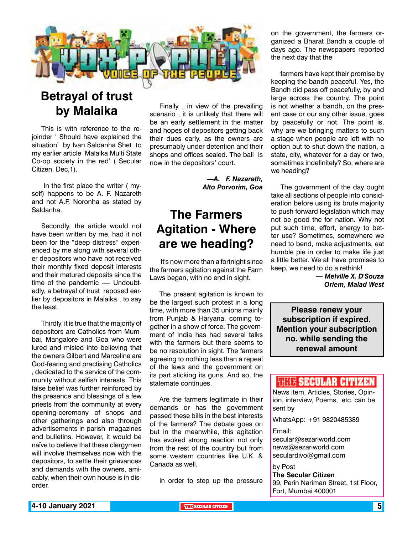

### **Betrayal of trust by Malaika**

This is with reference to the rejoinder ' Should have explained the situation' by Ivan Saldanha Shet to my earlier article 'Malaika Multi State Co-op society in the red' ( Secular Citizen, Dec,1).

 In the first place the writer ( myself) happens to be A. F. Nazareth and not A.F. Noronha as stated by Saldanha.

Secondly, the article would not have been written by me, had it not been for the "deep distress" experienced by me along with several other depositors who have not received their monthly fixed deposit interests and their matured deposits since the time of the pandemic ---- Undoubtedly, a betrayal of trust reposed earlier by depositors in Malaika , to say the least.

Thirdly, it is true that the majority of depositors are Catholics from Mumbai, Mangalore and Goa who were lured and misled into believing that the owners Gilbert and Marceline are God-fearing and practising Catholics , dedicated to the service of the community without selfish interests. This false belief was further reinforced by the presence and blessings of a few priests from the community at every opening-ceremony of shops and other gatherings and also through advertisements in parish magazines and bulletins. However, it would be naïve to believe that these clergymen will involve themselves now with the depositors, to settle their grievances and demands with the owners, amicably, when their own house is in disorder.

Finally , in view of the prevailing scenario , it is unlikely that there will be an early settlement in the matter and hopes of depositors getting back their dues early, as the owners are presumably under detention and their shops and offices sealed. The ball is now in the depositors' court.

> *—A. F. Nazareth, Alto Porvorim, Goa*

### **The Farmers Agitation - Where are we heading?**

 It's now more than a fortnight since the farmers agitation against the Farm Laws began, with no end in sight.

The present agitation is known to be the largest such protest in a long time, with more than 35 unions mainly from Punjab & Haryana, coming together in a show of force. The government of India has had several talks with the farmers but there seems to be no resolution in sight. The farmers agreeing to nothing less than a repeal of the laws and the government on its part sticking its guns. And so, the stalemate continues.

Are the farmers legitimate in their demands or has the government passed these bills in the best interests of the farmers? The debate goes on but in the meanwhile, this agitation has evoked strong reaction not only from the rest of the country but from some western countries like U.K. & Canada as well.

In order to step up the pressure

on the government, the farmers organized a Bharat Bandh a couple of days ago. The newspapers reported the next day that the

farmers have kept their promise by keeping the bandh peaceful. Yes, the Bandh did pass off peacefully, by and large across the country. The point is not whether a bandh, on the present case or our any other issue, goes by peacefully or not. The point is, why are we bringing matters to such a stage when people are left with no option but to shut down the nation, a state, city, whatever for a day or two, sometimes indefinitely? So, where are we heading?

The government of the day ought take all sections of people into consideration before using its brute majority to push forward legislation which may not be good the for nation. Why not put such time, effort, energy to better use? Sometimes, somewhere we need to bend, make adjustments, eat humble pie in order to make life just a little better. We all have promises to keep, we need to do a rethink!

> *— Melville X. D'Souza Orlem, Malad West*

**Please renew your subscription if expired. Mention your subscription no. while sending the renewal amount**

#### **WHEE SECULAR CITIZEN**

News item, Articles, Stories, Opinion, interview, Poems, etc. can be sent by

WhatsApp: +91 9820485389

#### Email:

secular@sezariworld.com news@sezariworld.com seculardivo@gmail.com

by Post **The Secular Citizen** 99, Perin Nariman Street, 1st Floor, Fort, Mumbai 400001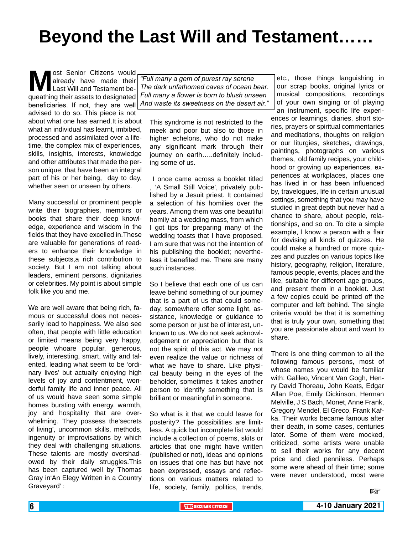## **Beyond the Last Will and Testament……**

**M**ost Senior Citizens would<br>already have made their<br>queathing their assets to designated already have made their Last Will and Testament bequeathing their assets to designated beneficiaries. If not, they are well advised to do so. This piece is not about what one has earned.It is about what an individual has learnt, imbibed, processed and assimilated over a lifetime, the complex mix of experiences, skills, insights, interests, knowledge and other attributes that made the person unique, that have been an integral part of his or her being, day to day, whether seen or unseen by others.

Many successful or prominent people write their biographies, memoirs or books that share their deep knowledge, experience and wisdom in the fields that they have excelled in.These are valuable for generations of readers to enhance their knowledge in these subjects,a rich contribution to society. But I am not talking about leaders, eminent persons, dignitaries or celebrities. My point is about simple folk like you and me.

We are well aware that being rich, famous or successful does not necessarily lead to happiness. We also see often, that people with little education or limited means being very happy, people whoare popular, generous, lively, interesting, smart, witty and talented, leading what seem to be 'ordinary lives' but actually enjoying high levels of joy and contentment, wonderful family life and inner peace. All of us would have seen some simple homes bursting with energy, warmth, joy and hospitality that are overwhelming. They possess the'secrets of living', uncommon skills, methods, ingenuity or improvisations by which they deal with challenging situations. These talents are mostly overshadowed by their daily struggles.This has been captured well by Thomas Gray in'An Elegy Written in a Country Graveyard' :

*"Full many a gem of purest ray serene The dark unfathomed caves of ocean bear. Full many a flower is born to blush unseen And waste its sweetness on the desert air."*

This syndrome is not restricted to the meek and poor but also to those in higher echelons, who do not make any significant mark through their journey on earth…..definitely including some of us.

 I once came across a booklet titled , 'A Small Still Voice', privately published by a Jesuit priest. It contained a selection of his homilies over the years. Among them was one beautiful homily at a wedding mass, from which I got tips for preparing many of the wedding toasts that I have proposed. I am sure that was not the intention of his publishing the booklet; nevertheless it benefited me. There are many such instances.

So I believe that each one of us can leave behind something of our journey that is a part of us that could someday, somewhere offer some light, assistance, knowledge or guidance to some person or just be of interest, unknown to us. We do not seek acknowledgement or appreciation but that is not the spirit of this act. We may not even realize the value or richness of what we have to share. Like physical beauty being in the eyes of the beholder, sometimes it takes another person to identify something that is brilliant or meaningful in someone.

So what is it that we could leave for posterity? The possibilities are limitless. A quick but incomplete list would include a collection of poems, skits or articles that one might have written (published or not), ideas and opinions on issues that one has but have not been expressed, essays and reflections on various matters related to life, society, family, politics, trends,

etc., those things languishing in our scrap books, original lyrics or musical compositions, recordings of your own singing or of playing an instrument, specific life experiences or learnings, diaries, short stories, prayers or spiritual commentaries and meditations, thoughts on religion or our liturgies, sketches, drawings, paintings, photographs on various themes, old family recipes, your childhood or growing up experiences, experiences at workplaces, places one has lived in or has been influenced by, travelogues, life in certain unusual settings, something that you may have studied in great depth but never had a chance to share, about people, relationships, and so on. To cite a simple example, I know a person with a flair for devising all kinds of quizzes. He could make a hundred or more quizzes and puzzles on various topics like history, geography, religion, literature, famous people, events, places and the like, suitable for different age groups, and present them in a booklet. Just a few copies could be printed off the computer and left behind. The single criteria would be that it is something that is truly your own, something that you are passionate about and want to share.

There is one thing common to all the following famous persons, most of whose names you would be familiar with: Galileo, Vincent Van Gogh, Henry David Thoreau, John Keats, Edgar Allan Poe, Emily Dickinson, Herman Melville, J S Bach, Monet, Anne Frank, Gregory Mendel, El Greco, Frank Kafka. Their works became famous after their death, in some cases, centuries later. Some of them were mocked, criticized, some artists were unable to sell their works for any decent price and died penniless. Perhaps some were ahead of their time; some were never understood, most were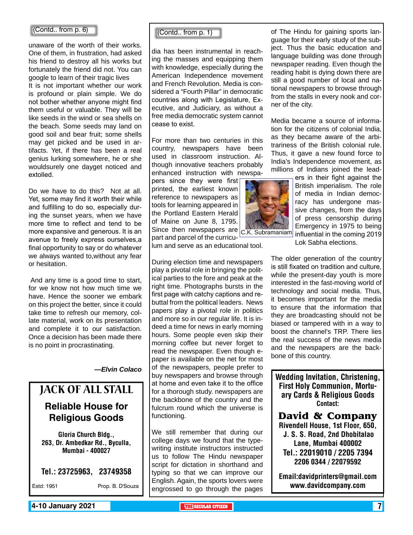#### (Contd.. from p. 6)

unaware of the worth of their works. One of them, in frustration, had asked his friend to destroy all his works but fortunately the friend did not. You can google to learn of their tragic lives

It is not important whether our work is profound or plain simple. We do not bother whether anyone might find them useful or valuable. They will be like seeds in the wind or sea shells on the beach. Some seeds may land on good soil and bear fruit; some shells may get picked and be used in artifacts. Yet, if there has been a real genius lurking somewhere, he or she wouldsurely one dayget noticed and extolled.

Do we have to do this? Not at all. Yet, some may find it worth their while and fulfilling to do so, especially during the sunset years, when we have more time to reflect and tend to be more expansive and generous. It is an avenue to freely express ourselves,a final opportunity to say or do whatever we always wanted to,without any fear or hesitation.

 And any time is a good time to start, for we know not how much time we have. Hence the sooner we embark on this project the better, since it could take time to refresh our memory, collate material, work on its presentation and complete it to our satisfaction. Once a decision has been made there is no point in procrastinating.

*—Elvin Colaco*

### Jack of All Stall **Reliable House for Religious Goods**

Gloria Church Bldg., 263, Dr. Ambedkar Rd., Byculla, Mumbai - 400027

Tel.: 23725963, 23749358

Estd: 1951 Prop. B. D'Souza

(Contd.. from p. 1)

dia has been instrumental in reaching the masses and equipping them with knowledge, especially during the American Independence movement and French Revolution. Media is considered a "Fourth Pillar" in democratic countries along with Legislature, Executive, and Judiciary, as without a free media democratic system cannot cease to exist.

For more than two centuries in this country, newspapers have been used in classroom instruction. Although innovative teachers probably enhanced instruction with newspa-

pers since they were first printed, the earliest known reference to newspapers as tools for learning appeared in the Portland Eastern Herald of Maine on June 8, 1795. Since then newspapers are  $c$ .K. Subramaniam part and parcel of the curricu-

lum and serve as an educational tool.

During election time and newspapers play a pivotal role in bringing the political parties to the fore and peak at the right time. Photographs bursts in the first page with catchy captions and rebuttal from the political leaders. News papers play a pivotal role in politics and more so in our regular life. It is indeed a time for news in early morning hours. Some people even skip their morning coffee but never forget to read the newspaper. Even though epaper is available on the net for most of the newspapers, people prefer to buy newspapers and browse through at home and even take it to the office for a thorough study. newspapers are the backbone of the country and the fulcrum round which the universe is functioning.

We still remember that during our college days we found that the typewriting institute instructors instructed us to follow The Hindu newspaper script for dictation in shorthand and typing so that we can improve our English. Again, the sports lovers were engrossed to go through the pages

of The Hindu for gaining sports language for their early study of the subject. Thus the basic education and language building was done through newspaper reading. Even though the reading habit is dying down there are still a good number of local and national newspapers to browse through from the stalls in every nook and corner of the city.

Media became a source of information for the citizens of colonial India, as they became aware of the arbitrariness of the British colonial rule. Thus, it gave a new found force to India's Independence movement, as millions of Indians joined the lead-



ers in their fight against the British imperialism. The role of media in Indian democracy has undergone massive changes, from the days of press censorship during Emergency in 1975 to being influential in the coming 2019 Lok Sabha elections.

The older generation of the country is still fixated on tradition and culture, while the present-day youth is more interested in the fast-moving world of technology and social media. Thus, it becomes important for the media to ensure that the information that they are broadcasting should not be biased or tampered with in a way to boost the channel's TRP. There lies the real success of the news media and the newspapers are the backbone of this country.

Wedding Invitation, Christening, First Holy Communion, Mortuary Cards & Religious Goods Contact:

**David & Company** Rivendell House, 1st Floor, 650, J. S. S. Road, 2nd Dhobitalao Lane, Mumbai 400002 Tel.: 22019010 / 2205 7394 2206 0344 / 22079592

Email:davidprinters@gmail.com www.davidcompany.com

**4-10 January 2021 The SECULAR CITIZEN THE SECULAR CITIZEN THE THE THE THE THE THE THE THE THE**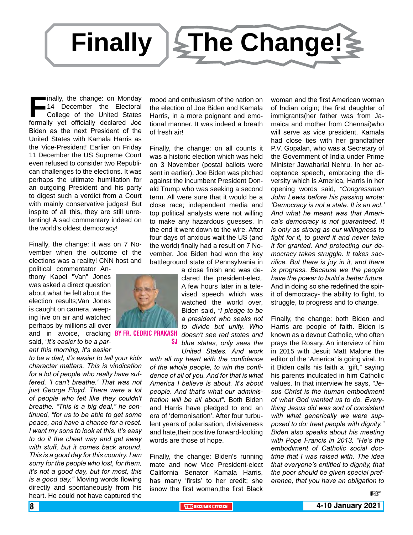

**Friendly, the change: on Monday**<br> **Friend 14 December the Electoral College of the United States<br>
formally vet officially declared Joe** 14 December the Electoral College of the United States formally yet officially declared Joe Biden as the next President of the United States with Kamala Harris as the Vice-President! Earlier on Friday 11 December the US Supreme Court even refused to consider two Republican challenges to the elections. It was perhaps the ultimate humiliation for an outgoing President and his party to digest such a verdict from a Court with mainly conservative judges! But inspite of all this, they are still unrelenting! A sad commentary indeed on the world's oldest democracy!

Finally, the change: it was on 7 November when the outcome of the elections was a reality! CNN host and

political commentator Anthony Kapel "Van" Jones was asked a direct question about what he felt about the election results;Van Jones is caught on camera, weeping live on air and watched perhaps by millions all over and in avoice, cracking BYFR.CEDRICPRAKA said, *"It's easier to be a parent this morning, it's easier* 

*to be a dad, it's easier to tell your kids character matters. This is vindication for a lot of people who really have suffered. 'I can't breathe.' That was not just George Floyd. There were a lot of people who felt like they couldn't breathe. "This is a big deal," he continued, "for us to be able to get some peace, and have a chance for a reset. I want my sons to look at this. It's easy to do it the cheat way and get away with stuff, but it comes back around. This is a good day for this country. I am sorry for the people who lost, for them, it's not a good day, but for most, this is a good day."* Moving words flowing directly and spontaneously from his heart. He could not have captured the

mood and enthusiasm of the nation on the election of Joe Biden and Kamala Harris, in a more poignant and emotional manner. It was indeed a breath of fresh air!

Finally, the change: on all counts it was a historic election which was held on 3 November (postal ballots were sent in earlier). Joe Biden was pitched against the incumbent President Donald Trump who was seeking a second term. All were sure that it would be a close race; independent media and top political analysts were not willing to make any hazardous guesses. In the end it went down to the wire. After four days of anxious wait the US (and the world) finally had a result on 7 November. Joe Biden had won the key battleground state of Pennsylvania in

a close finish and was declared the president-elect. A few hours later in a televised speech which was watched the world over, Biden said, *"I pledge to be a president who seeks not to divide but unify. Who doesn't see red states and blue states, only sees the* 

*United States. And work with all my heart with the confidence of the whole people, to win the confidence of all of you. And for that is what America I believe is about. It's about people. And that's what our administration will be all about"*. Both Biden and Harris have pledged to end an era of 'demonisation'. After four turbulent years of polarisation, divisiveness and hate,their positive forward-looking words are those of hope.

Finally, the change: Biden's running mate and now Vice President-elect California Senator Kamala Harris, has many 'firsts' to her credit; she isnow the first woman,the first Black

woman and the first American woman of Indian origin; the first daughter of immigrants(her father was from Jamaica and mother from Chennai)who will serve as vice president. Kamala had close ties with her grandfather P.V. Gopalan, who was a Secretary of the Government of India under Prime Minister Jawaharlal Nehru. In her acceptance speech, embracing the diversity which is America, Harris in her opening words said, *"Congressman John Lewis before his passing wrote: 'Democracy is not a state. It is an act.' And what he meant was that America's democracy is not guaranteed. It is only as strong as our willingness to fight for it, to guard it and never take it for granted. And protecting our democracy takes struggle. It takes sacrifice. But there is joy in it, and there is progress. Because we the people have the power to build a better future.*  And in doing so she redefined the spirit of democracy- the ability to fight, to struggle, to progress and to change.

Finally, the change: both Biden and Harris are people of faith. Biden is known as a devout Catholic, who often prays the Rosary. An interview of him in 2015 with Jesuit Matt Malone the editor of the 'America' is going viral. In it Biden calls his faith a "gift," saying his parents inculcated in him Catholic values. In that interview he says, *"Jesus Christ is the human embodiment of what God wanted us to do. Everything Jesus did was sort of consistent with what generically we were supposed to do: treat people with dignity." Biden also speaks about his meeting with Pope Francis in 2013. "He's the embodiment of Catholic social doctrine that I was raised with. The idea that everyone's entitled to dignity, that the poor should be given special preference, that you have an obligation to* 



sj

咚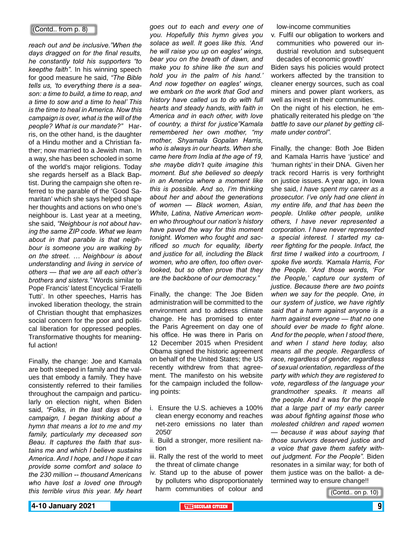#### (Contd.. from p. 8)

*reach out and be inclusive."When the days dragged on for the final results, he constantly told his supporters "to keepthe faith".* In his winning speech for good measure he said, *"The Bible tells us, 'to everything there is a season: a time to build, a time to reap, and a time to sow and a time to heal' This is the time to heal in America. Now this campaign is over, what is the will of the people? What is our mandate?"* Harris, on the other hand, is the daughter of a Hindu mother and a Christian father; now married to a Jewish man. In a way, she has been schooled in some of the world's major religions. Today she regards herself as a Black Baptist. During the campaign she often referred to the parable of the 'Good Samaritan' which she says helped shape her thoughts and actions on who one's neighbour is. Last year at a meeting, she said, *"Neighbour is not about having the same ZIP code. What we learn about in that parable is that neighbour is someone you are walking by on the street. … Neighbour is about understanding and living in service of others — that we are all each other's brothers and sisters."* Words similar to Pope Francis' latest Encyclical 'Fratelli Tutti'. In other speeches, Harris has invoked liberation theology, the strain of Christian thought that emphasizes social concern for the poor and political liberation for oppressed peoples. Transformative thoughts for meaningful action!

Finally, the change: Joe and Kamala are both steeped in family and the values that embody a family. They have consistently referred to their families throughout the campaign and particularly on election night, when Biden said, *"Folks, in the last days of the campaign, I began thinking about a hymn that means a lot to me and my family, particularly my deceased son Beau. It captures the faith that sustains me and which I believe sustains America. And I hope, and I hope it can provide some comfort and solace to the 230 million -- thousand Americans who have lost a loved one through this terrible virus this year. My heart*  *goes out to each and every one of you. Hopefully this hymn gives you solace as well. It goes like this. 'And he will raise you up on eagles' wings, bear you on the breath of dawn, and make you to shine like the sun and hold you in the palm of his hand.' And now together on eagles' wings, we embark on the work that God and history have called us to do with full hearts and steady hands, with faith in America and in each other, with love of country, a thirst for justice"Kamala remembered her own mother, "my mother, Shyamala Gopalan Harris, who is always in our hearts. When she came here from India at the age of 19, she maybe didn't quite imagine this moment. But she believed so deeply in an America where a moment like this is possible. And so, I'm thinking about her and about the generations of women — Black women, Asian, White, Latina, Native American women who throughout our nation's history have paved the way for this moment tonight. Women who fought and sacrificed so much for equality, liberty and justice for all, including the Black women, who are often, too often overlooked, but so often prove that they are the backbone of our democracy."*

Finally, the change: The Joe Biden administration will be committed to the environment and to address climate change. He has promised to enter the Paris Agreement on day one of his office. He was there in Paris on 12 December 2015 when President Obama signed the historic agreement on behalf of the United States; the US recently withdrew from that agreement. The manifesto on his website for the campaign included the following points:

- i. Ensure the U.S. achieves a 100% clean energy economy and reaches net-zero emissions no later than 2050'
- ii. Build a stronger, more resilient nation
- iii. Rally the rest of the world to meet the threat of climate change
- iv. Stand up to the abuse of power by polluters who disproportionately harm communities of colour and

low-income communities

v. Fulfil our obligation to workers and communities who powered our industrial revolution and subsequent decades of economic growth'

Biden says his policies would protect workers affected by the transition to cleaner energy sources, such as coal miners and power plant workers, as well as invest in their communities.

On the night of his election, he emphatically reiterated his pledge on *"the battle to save our planet by getting climate under control".*

Finally, the change: Both Joe Biden and Kamala Harris have 'justice' and 'human rights' in their DNA. Given her track record Harris is very forthright on justice issues. A year ago, in Iowa she said, *I have spent my career as a prosecutor. I've only had one client in my entire life, and that has been the people. Unlike other people, unlike others, I have never represented a corporation. I have never represented a special interest. I started my career fighting for the people. Infact, the first time I walked into a courtroom, I spoke five words. 'Kamala Harris, For the People. 'And those words, 'For the People,' capture our system of justice. Because there are two points when we say for the people. One, in our system of justice, we have rightly said that a harm against anyone is a harm against everyone — that no one should ever be made to fight alone. And for the people, when I stood there, and when I stand here today, also means all the people. Regardless of race, regardless of gender, regardless of sexual orientation, regardless of the party with which they are registered to vote, regardless of the language your grandmother speaks. It means all the people. And it was for the people that a large part of my early career was about fighting against those who molested children and raped women — because it was about saying that those survivors deserved justice and a voice that gave them safety without judgment. For the People".* Biden resonates in a similar way; for both of them justice was on the ballot- a determined way to ensure change!!

(Contd.. on p. 10)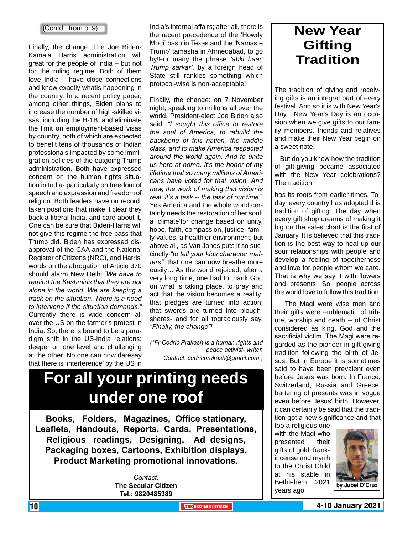#### (Contd.. from p. 9)

Finally, the change: The Joe Biden-Kamala Harris administration will great for the people of India – but not for the ruling regime! Both of them love India – have close connections and know exactly whatis happening in the country. In a recent policy paper, among other things, Biden plans to increase the number of high-skilled visas, including the H-1B, and eliminate the limit on employment-based visas by country, both of which are expected to benefit tens of thousands of Indian professionals impacted by some immigration policies of the outgoing Trump administration. Both have expressed concern on the human rights situation in India- particularly on freedom of speech and expression and freedom of religion. Both leaders have on record, taken positions that make it clear they back a liberal India, and care about it. One can be sure that Biden-Harris will not give this regime the free pass that Trump did. Biden has expressed disapproval of the CAA and the National Register of Citizens (NRC), and Harris' words on the abrogation of Article 370 should alarm New Delhi,*"We have to remind the Kashmiris that they are not alone in the world. We are keeping a track on the situation. There is a need to intervene if the situation demands."*  Currently there is wide concern all over the US on the farmer's protest in India. So, there is bound to be a paradigm shift in the US-India relations: deeper on one level and challenging at the other. No one can now daresay that there is 'interference' by the US in India's internal affairs; after all, there is the recent precedence of the 'Howdy Modi' bash in Texas and the 'Namaste Trump' tamasha in Ahmedabad, to go by!For many the phrase *'abki baar, Trump sarkar'.* by a foreign head of State still rankles something which protocol-wise is non-acceptable!

Finally, the change: on 7 November night, speaking to millions all over the world, President-elect Joe Biden also said, *"I sought this office to restore the soul of America, to rebuild the backbone of this nation, the middle class, and to make America respected around the world again. And to unite us here at home. It's the honor of my lifetime that so many millions of Americans have voted for that vision. And now, the work of making that vision is real, it's a task -- the task of our time".*  Yes,America and the whole world certainly needs the restoration of her soul: a 'climate'for change based on unity, hope, faith, compassion, justice, family values, a healthier environment; but above all, as Van Jones puts it so succinctly *"to tell your kids character matters",* that one can now breathe more easily… As the world rejoiced, after a very long time, one had to thank God on what is taking place, to pray and act that the vision becomes a reality; that pledges are turned into action; that swords are turned into ploughshares- and for all tograciously say, *"Finally, the change"!*

*(\*Fr Cedric Prakash is a human rights and peace activist- writer. Contact: cedricprakash@gmail.com )*

## **For all your printing needs under one roof**

**Books, Folders, Magazines, Office stationary, Leaflets, Handouts, Reports, Cards, Presentations, Religious readings, Designing, Ad designs, Packaging boxes, Cartoons, Exhibition displays, Product Marketing promotional innovations.**

> *Contact:* **The Secular Citizen Tel.: 9820485389**

### **New Year Gifting Tradition**

The tradition of giving and receiving gifts is an integral part of every festival. And so it is with New Year's Day. New Year's Day is an occasion when we give gifts to our family members, friends and relatives and make their New Year begin on a sweet note.

 But do you know how the tradition of gift-giving became associated with the New Year celebrations? The tradition

has its roots from earlier times. Today, every country has adopted this tradition of gifting. The day when every gift shop dreams of making it big on the sales chart is the first of January. It is believed that this tradition is the best way to heal up our sour relationships with people and develop a feeling of togetherness and love for people whom we care. That is why we say it with flowers and presents. So, people across the world love to follow this tradition.

 The Magi were wise men and their gifts were emblematic of tribute, worship and death -- of Christ considered as king, God and the sacrificial victim. The Magi were regarded as the pioneer in gift-giving tradition following the birth of Jesus. But in Europe it is sometimes said to have been prevalent even before Jesus was born. In France, Switzerland, Russia and Greece, bartering of presents was in vogue even before Jesus' birth. However, it can certainly be said that the tradition got a new significance and that

too a religious one with the Magi who presented their gifts of gold, frankincense and myrrh to the Christ Child at his stable in Bethlehem 2021 years ago.

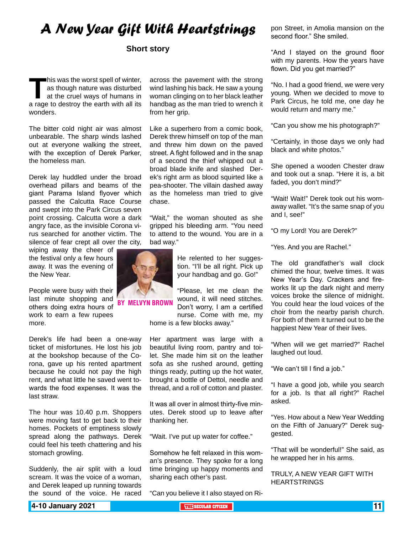### *A New Year Gift With Heartstrings*

#### **Short story**

**This was the worst spell of winter,** as though nature was disturbed at the cruel ways of humans in a rage to destroy the earth with all its as though nature was disturbed at the cruel ways of humans in wonders.

The bitter cold night air was almost unbearable. The sharp winds lashed out at everyone walking the street, with the exception of Derek Parker, the homeless man.

Derek lay huddled under the broad overhead pillars and beams of the giant Parama Island flyover which passed the Calcutta Race Course and swept into the Park Circus seven point crossing. Calcutta wore a dark angry face, as the invisible Corona virus searched for another victim. The silence of fear crept all over the city,

wiping away the cheer of the festival only a few hours away. It was the evening of the New Year.

People were busy with their last minute shopping and others doing extra hours of work to earn a few rupees more.

Derek's life had been a one-way ticket of misfortunes. He lost his job at the bookshop because of the Corona, gave up his rented apartment because he could not pay the high rent, and what little he saved went towards the food expenses. It was the last straw.

The hour was 10.40 p.m. Shoppers were moving fast to get back to their homes. Pockets of emptiness slowly spread along the pathways. Derek could feel his teeth chattering and his stomach growling.

Suddenly, the air split with a loud scream. It was the voice of a woman, and Derek leaped up running towards the sound of the voice. He raced across the pavement with the strong wind lashing his back. He saw a young woman clinging on to her black leather handbag as the man tried to wrench it from her grip.

Like a superhero from a comic book, Derek threw himself on top of the man and threw him down on the paved street. A fight followed and in the snap of a second the thief whipped out a broad blade knife and slashed Derek's right arm as blood squirted like a pea-shooter. The villain dashed away as the homeless man tried to give chase.

"Wait," the woman shouted as she gripped his bleeding arm. "You need to attend to the wound. You are in a bad way."

> He relented to her suggestion. "I'll be all right. Pick up your handbag and go. Go!"

"Please, let me clean the wound, it will need stitches. Don't worry, I am a certified nurse. Come with me, my

home is a few blocks away."

Her apartment was large with a beautiful living room, pantry and toilet. She made him sit on the leather sofa as she rushed around, getting things ready, putting up the hot water, brought a bottle of Dettol, needle and thread, and a roll of cotton and plaster.

It was all over in almost thirty-five minutes. Derek stood up to leave after thanking her.

"Wait. I've put up water for coffee."

Somehow he felt relaxed in this woman's presence. They spoke for a long time bringing up happy moments and sharing each other's past.

"Can you believe it I also stayed on Ri-

pon Street, in Amolia mansion on the second floor." She smiled.

"And I stayed on the ground floor with my parents. How the years have flown. Did you get married?"

"No. I had a good friend, we were very young. When we decided to move to Park Circus, he told me, one day he would return and marry me."

"Can you show me his photograph?"

"Certainly, in those days we only had black and white photos."

She opened a wooden Chester draw and took out a snap. "Here it is, a bit faded, you don't mind?"

"Wait! Wait!" Derek took out his wornaway wallet. "It's the same snap of you and I, see!"

"O my Lord! You are Derek?"

"Yes. And you are Rachel."

The old grandfather's wall clock chimed the hour, twelve times. It was New Year's Day. Crackers and fireworks lit up the dark night and merry voices broke the silence of midnight. You could hear the loud voices of the choir from the nearby parish church. For both of them it turned out to be the happiest New Year of their lives.

"When will we get married?" Rachel laughed out loud.

"We can't till I find a job."

"I have a good job, while you search for a job. Is that all right?" Rachel asked.

"Yes. How about a New Year Wedding on the Fifth of January?" Derek suggested.

"That will be wonderful!" She said, as he wrapped her in his arms.

TRULY, A NEW YEAR GIFT WITH **HEARTSTRINGS** 

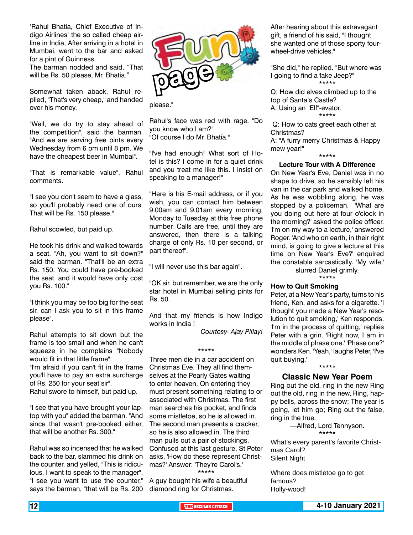'Rahul Bhatia, Chief Executive of Indigo Airlines' the so called cheap airline in India, After arriving in a hotel in Mumbai, went to the bar and asked for a pint of Guinness.

The barman nodded and said, "That will be Rs. 50 please, Mr. Bhatia."

Somewhat taken aback, Rahul replied, "That's very cheap," and handed over his money.

"Well, we do try to stay ahead of the competition", said the barman. "And we are serving free pints every Wednesday from 6 pm until 8 pm. We have the cheapest beer in Mumbai".

"That is remarkable value", Rahul comments.

"I see you don't seem to have a glass, so you'll probably need one of ours. That will be Rs. 150 please."

Rahul scowled, but paid up.

He took his drink and walked towards a seat. "Ah, you want to sit down?" said the barman. "That'll be an extra Rs. 150. You could have pre-booked the seat, and it would have only cost you Rs. 100."

"I think you may be too big for the seat sir, can I ask you to sit in this frame please".

Rahul attempts to sit down but the frame is too small and when he can't squeeze in he complains "Nobody would fit in that little frame".

"I'm afraid if you can't fit in the frame you'll have to pay an extra surcharge of Rs. 250 for your seat sir". Rahul swore to himself, but paid up.

"I see that you have brought your laptop with you" added the barman. "And since that wasn't pre-booked either, that will be another Rs. 300."

Rahul was so incensed that he walked back to the bar, slammed his drink on the counter, and yelled, "This is ridiculous, I want to speak to the manager". "I see you want to use the counter," says the barman, "that will be Rs. 200



please."

Rahul's face was red with rage. "Do you know who I am?" "Of course I do Mr. Bhatia."

"I've had enough! What sort of Hotel is this? I come in for a quiet drink and you treat me like this. I insist on speaking to a manager!"

"Here is his E-mail address, or if you wish, you can contact him between 9.00am and 9.01am every morning, Monday to Tuesday at this free phone number. Calls are free, until they are answered, then there is a talking charge of only Rs. 10 per second, or part thereof".

"I will never use this bar again".

"OK sir, but remember, we are the only star hotel in Mumbai selling pints for Rs. 50.

And that my friends is how Indigo works in India !

\*\*\*\*\*

*Courtesy- Ajay Pillay!*

Three men die in a car accident on Christmas Eve. They all find themselves at the Pearly Gates waiting to enter heaven. On entering they must present something relating to or associated with Christmas. The first man searches his pocket, and finds some mistletoe, so he is allowed in. The second man presents a cracker, so he is also allowed in. The third man pulls out a pair of stockings. Confused at this last gesture, St Peter asks, 'How do these represent Christmas?' Answer: 'They're Carol's.' \*\*\*\*\*

A guy bought his wife a beautiful diamond ring for Christmas.

After hearing about this extravagant gift, a friend of his said, "I thought she wanted one of those sporty fourwheel-drive vehicles."

"She did," he replied. "But where was I going to find a fake Jeep?" \*\*\*\*\*

Q: How did elves climbed up to the top of Santa's Castle? A: Using an "Elf"-evator. \*\*\*\*\*

 Q: How to cats greet each other at Christmas?

A: "A furry merry Christmas & Happy mew year!"

#### \*\*\*\*\*

#### **Lecture Tour with A Difference**

On New Year's Eve, Daniel was in no shape to drive, so he sensibly left his van in the car park and walked home. As he was wobbling along, he was stopped by a policeman. 'What are you doing out here at four o'clock in the morning?' asked the police officer. 'I'm on my way to a lecture,' answered Roger. 'And who on earth, in their right mind, is going to give a lecture at this time on New Year's Eve?' enquired the constable sarcastically. 'My wife,' slurred Daniel grimly.

\*\*\*\*\*

#### **How to Quit Smoking**

Peter, at a New Year's party, turns to his friend, Ken, and asks for a cigarette. 'I thought you made a New Year's resolution to quit smoking,' Ken responds. 'I'm in the process of quitting,' replies Peter with a grin. 'Right now, I am in the middle of phase one.' 'Phase one?' wonders Ken. 'Yeah,' laughs Peter, 'I've quit buying.'

#### \*\*\*\*\*

#### **Classic New Year Poem**

Ring out the old, ring in the new Ring out the old, ring in the new, Ring, happy bells, across the snow: The year is going, let him go; Ring out the false, ring in the true.

> —Alfred, Lord Tennyson. \*\*\*\*\*

What's every parent's favorite Christmas Carol? Silent Night

Where does mistletoe go to get famous? Holly-wood!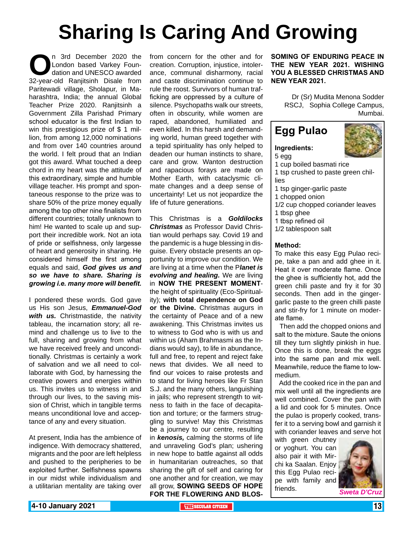# **Sharing Is Caring And Growing**

n 3rd December 2020 the<br>
London based Varkey Foun-<br>
32-year-old Ranjitsinh Disale from London based Varkey Foundation and UNESCO awarded Paritewadi village, Sholapur, in Maharashtra, India; the annual Global Teacher Prize 2020. Ranjitsinh a Government Zilla Parishad Primary school educator is the first Indian to win this prestigious prize of \$ 1 million, from among 12,000 nominations and from over 140 countries around the world. I felt proud that an Indian got this award. What touched a deep chord in my heart was the attitude of this extraordinary, simple and humble village teacher. His prompt and spontaneous response to the prize was to share 50% of the prize money equally among the top other nine finalists from different countries; totally unknown to him! He wanted to scale up and support their incredible work. Not an iota of pride or selfishness, only largesse of heart and generosity in sharing. He considered himself the first among equals and said, *God gives us and so we have to share. Sharing is growing i.e. many more will benefit.*

I pondered these words. God gave us His son Jesus, *Emmanuel-God with us.* Christmastide, the nativity tableau, the incarnation story; all remind and challenge us to live to the full, sharing and growing from what we have received freely and unconditionally. Christmas is certainly a work of salvation and we all need to collaborate with God, by harnessing the creative powers and energies within us. This invites us to witness in and through our lives, to the saving mission of Christ, which in tangible terms means unconditional love and acceptance of any and every situation.

At present, India has the ambience of indigence. With democracy shattered, migrants and the poor are left helpless and pushed to the peripheries to be exploited further. Selfishness spawns in our midst while individualism and a utilitarian mentality are taking over

from concern for the other and for creation. Corruption, injustice, intolerance, communal disharmony, racial and caste discrimination continue to rule the roost. Survivors of human trafficking are oppressed by a culture of silence. Psychopaths walk our streets, often in obscurity, while women are raped, abandoned, humiliated and even killed. In this harsh and demanding world, human greed together with a tepid spirituality has only helped to deaden our human instincts to share, care and grow. Wanton destruction and rapacious forays are made on Mother Earth, with cataclysmic climate changes and a deep sense of uncertainty! Let us not jeopardize the life of future generations.

This Christmas is a *Goldilocks Christmas* as Professor David Christian would perhaps say. Covid 19 and the pandemic is a huge blessing in disguise. Every obstacle presents an opportunity to improve our condition. We are living at a time when the P*lanet is evolving and healing.* We are living in **NOW THE PRESENT MOMENT**the height of spirituality (Eco-Spirituality); **with total dependence on God or the Divine.** Christmas augurs in the certainty of Peace and of a new awakening. This Christmas invites us to witness to God who is with us and within us (Aham Brahmasmi as the Indians would say), to life in abundance, full and free, to repent and reject fake news that divides. We all need to find our voices to raise protests and to stand for living heroes like Fr Stan S.J. and the many others, languishing in jails; who represent strength to witness to faith in the face of decapitation and torture; or the farmers struggling to survive! May this Christmas be a journey to our centre, resulting in *kenosis,* calming the storms of life and unraveling God's plan; ushering in new hope to battle against all odds in humanitarian outreaches, so that sharing the gift of self and caring for one another and for creation, we may all grow, **SOWING SEEDS OF HOPE FOR THE FLOWERING AND BLOS-** **SOMING OF ENDURING PEACE IN THE NEW YEAR 2021. WISHING YOU A BLESSED CHRISTMAS AND NEW YEAR 2021.**

> Dr (Sr) Mudita Menona Sodder RSCJ, Sophia College Campus, Mumbai.

### **Egg Pulao**

#### **Ingredients:**

- 5 egg
- 1 cup boiled basmati rice
- 1 tsp crushed to paste green chillies
- 1 tsp ginger-garlic paste
- 1 chopped onion
- 1/2 cup chopped coriander leaves
- 1 tbsp ghee
- 1 tbsp refined oil
- 1/2 tablespoon salt

#### **Method:**

To make this easy Egg Pulao recipe, take a pan and add ghee in it. Heat it over moderate flame. Once the ghee is sufficiently hot, add the green chili paste and fry it for 30 seconds. Then add in the gingergarlic paste to the green chilli paste and stir-fry for 1 minute on moderate flame.

 Then add the chopped onions and salt to the mixture. Saute the onions till they turn slightly pinkish in hue. Once this is done, break the eggs into the same pan and mix well. Meanwhile, reduce the flame to lowmedium.

 Add the cooked rice in the pan and mix well until all the ingredients are well combined. Cover the pan with a lid and cook for 5 minutes. Once the pulao is properly cooked, transfer it to a serving bowl and garnish it with coriander leaves and serve hot

with green chutney or yoghurt. You can also pair it with Mirchi ka Saalan. Enjoy this Egg Pulao recipe with family and friends. **Sweta D'Cru** 

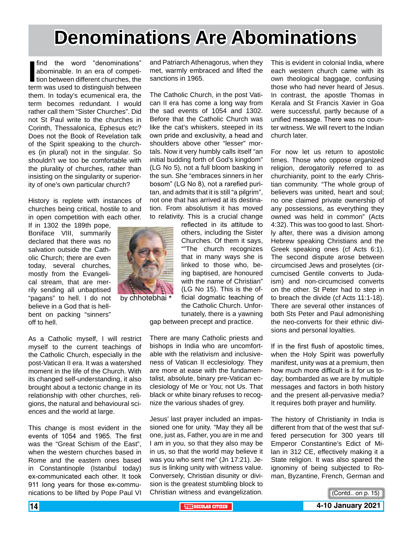## **Denominations Are Abominations**

find the word "denominations"<br>abominable. In an era of competi-<br>tion between different churches, the<br>term was used to distinguish between find the word "denominations" abominable. In an era of competition between different churches, the them. In today's ecumenical era, the term becomes redundant. I would rather call them "Sister Churches". Did not St Paul write to the churches in Corinth, Thessalonica, Ephesus etc? Does not the Book of Revelation talk of the Spirit speaking to the churches (in plural) not in the singular. So shouldn't we too be comfortable with the plurality of churches, rather than insisting on the singularity or superiority of one's own particular church?

History is replete with instances of churches being critical, hostile to and in open competition with each other.

If in 1302 the 189th pope, Boniface VIII, summarily declared that there was no salvation outside the Catholic Church; there are even today, several churches, mostly from the Evangelical stream, that are merrily sending all unbaptised "pagans" to hell. I do not believe in a God that is hellbent on packing "sinners" off to hell.

As a Catholic myself, I will restrict myself to the current teachings of the Catholic Church, especially in the post-Vatican II era. It was a watershed moment in the life of the Church. With its changed self-understanding, it also brought about a tectonic change in its relationship with other churches, religions, the natural and behavioural sciences and the world at large.

This change is most evident in the events of 1054 and 1965. The first was the "Great Schism of the East", when the western churches based in Rome and the eastern ones based in Constantinople (Istanbul today) ex-communicated each other. It took 911 long years for those ex-communications to be lifted by Pope Paul VI

and Patriarch Athenagorus, when they met, warmly embraced and lifted the sanctions in 1965.

The Catholic Church, in the post Vatican II era has come a long way from the sad events of 1054 and 1302. Before that the Catholic Church was like the cat's whiskers, steeped in its own pride and exclusivity, a head and shoulders above other "lesser" mortals. Now it very humbly calls itself "an initial budding forth of God's kingdom" (LG No 5), not a full bloom basking in the sun. She "embraces sinners in her bosom" (LG No 8), not a rarefied puritan, and admits that it is still "a pilgrim", not one that has arrived at its destination. From absolutism it has moved to relativity. This is a crucial change

> reflected in its attitude to others, including the Sister Churches. Of them it says, ""The church recognizes that in many ways she is linked to those who, being baptised, are honoured with the name of Christian" (LG No 15). This is the official dogmatic teaching of the Catholic Church. Unfortunately, there is a yawning

gap between precept and practice.

There are many Catholic priests and bishops in India who are uncomfortable with the relativism and inclusiveness of Vatican II ecclesiology. They are more at ease with the fundamentalist, absolute, binary pre-Vatican ecclesiology of Me or You; not Us. That black or white binary refuses to recognize the various shades of grey.

Jesus' last prayer included an impassioned one for unity. "May they all be one, just as, Father, you are in me and I am in you, so that they also may be in us, so that the world may believe it was you who sent me" (Jn 17:21). Jesus is linking unity with witness value. Conversely, Christian disunity or division is the greatest stumbling block to Christian witness and evangelization.

This is evident in colonial India, where each western church came with its own theological baggage, confusing those who had never heard of Jesus. In contrast, the apostle Thomas in Kerala and St Francis Xavier in Goa were successful, partly because of a unified message. There was no counter witness. We will revert to the Indian church later.

For now let us return to apostolic times. Those who oppose organized religion, derogatorily referred to as churchianity, point to the early Christian community. "The whole group of believers was united, heart and soul; no one claimed private ownership of any possessions, as everything they owned was held in common" (Acts 4:32). This was too good to last. Shortly after, there was a division among Hebrew speaking Christians and the Greek speaking ones (cf Acts 6:1). The second dispute arose between circumcised Jews and proselytes (circumcised Gentile converts to Judaism) and non-circumcised converts on the other. St Peter had to step in to breach the divide (cf Acts 11:1-18). There are several other instances of both Sts Peter and Paul admonishing the neo-converts for their ethnic divisions and personal loyalties.

If in the first flush of apostolic times, when the Holy Spirit was powerfully manifest, unity was at a premium, then how much more difficult is it for us today; bombarded as we are by multiple messages and factors in both history and the present all-pervasive media? It requires both prayer and humility.

The history of Christianity in India is different from that of the west that suffered persecution for 300 years till Emperor Constantine's Edict of Milan in 312 CE, effectively making it a State religion. It was also spared the ignominy of being subjected to Roman, Byzantine, French, German and

(Contd.. on p. 15)



by chhotebhai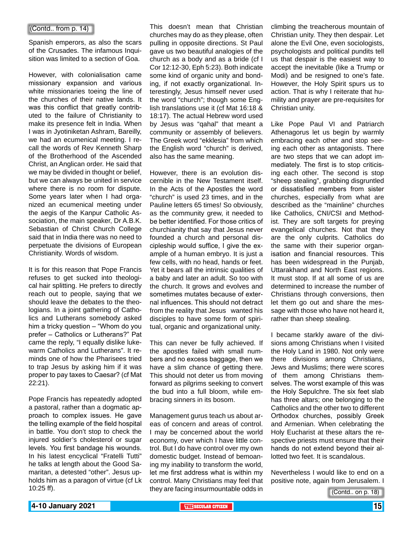#### (Contd.. from p. 14)

Spanish emperors, as also the scars of the Crusades. The infamous Inquisition was limited to a section of Goa.

However, with colonialisation came missionary expansion and various white missionaries toeing the line of the churches of their native lands. It was this conflict that greatly contributed to the failure of Christianity to make its presence felt in India. When I was in Jyotiniketan Ashram, Bareilly, we had an ecumenical meeting. I recall the words of Rev Kenneth Sharp of the Brotherhood of the Ascended Christ, an Anglican order. He said that we may be divided in thought or belief, but we can always be united in service where there is no room for dispute. Some years later when I had organized an ecumenical meeting under the aegis of the Kanpur Catholic Association, the main speaker, Dr A.B.K. Sebastian of Christ Church College said that in India there was no need to perpetuate the divisions of European Christianity. Words of wisdom.

It is for this reason that Pope Francis refuses to get sucked into theological hair splitting. He prefers to directly reach out to people, saying that we should leave the debates to the theologians. In a joint gathering of Catholics and Lutherans somebody asked him a tricky question – "Whom do you prefer – Catholics or Lutherans?" Pat came the reply, "I equally dislike lukewarm Catholics and Lutherans". It reminds one of how the Pharisees tried to trap Jesus by asking him if it was proper to pay taxes to Caesar? (cf Mat 22:21).

Pope Francis has repeatedly adopted a pastoral, rather than a dogmatic approach to complex issues. He gave the telling example of the field hospital in battle. You don't stop to check the injured soldier's cholesterol or sugar levels. You first bandage his wounds. In his latest encyclical "Fratelli Tutti" he talks at length about the Good Samaritan, a detested "other". Jesus upholds him as a paragon of virtue (cf Lk 10:25 ff).

This doesn't mean that Christian churches may do as they please, often pulling in opposite directions. St Paul gave us two beautiful analogies of the church as a body and as a bride (cf I Cor 12:12-30, Eph 5:23). Both indicate some kind of organic unity and bonding, if not exactly organizational. Interestingly, Jesus himself never used the word "church"; though some English translations use it (cf Mat 16:18 & 18:17). The actual Hebrew word used by Jesus was "qahal" that meant a community or assembly of believers. The Greek word "ekklesia" from which the English word "church" is derived, also has the same meaning.

However, there is an evolution discernible in the New Testament itself. In the Acts of the Apostles the word "church" is used 23 times, and in the Pauline letters 65 times! So obviously, as the community grew, it needed to be better identified. For those critics of churchianity that say that Jesus never founded a church and personal discipleship would suffice, I give the example of a human embryo. It is just a few cells, with no head, hands or feet. Yet it bears all the intrinsic qualities of a baby and later an adult. So too with the church. It grows and evolves and sometimes mutates because of external influences. This should not detract from the reality that Jesus wanted his disciples to have some form of spiritual, organic and organizational unity.

This can never be fully achieved. If the apostles failed with small numbers and no excess baggage, then we have a slim chance of getting there. This should not deter us from moving forward as pilgrims seeking to convert the bud into a full bloom, while embracing sinners in its bosom.

Management gurus teach us about areas of concern and areas of control. I may be concerned about the world economy, over which I have little control. But I do have control over my own domestic budget. Instead of bemoaning my inability to transform the world, let me first address what is within my control. Many Christians may feel that they are facing insurmountable odds in climbing the treacherous mountain of Christian unity. They then despair. Let alone the Evil One, even sociologists, psychologists and political pundits tell us that despair is the easiest way to accept the inevitable (like a Trump or Modi) and be resigned to one's fate. However, the Holy Spirit spurs us to action. That is why I reiterate that humility and prayer are pre-requisites for Christian unity.

Like Pope Paul VI and Patriarch Athenagorus let us begin by warmly embracing each other and stop seeing each other as antagonists. There are two steps that we can adopt immediately. The first is to stop criticising each other. The second is stop "sheep stealing", grabbing disgruntled or dissatisfied members from sister churches, especially from what are described as the "mainline" churches like Catholics, CNI/CSI and Methodist. They are soft targets for preying evangelical churches. Not that they are the only culprits. Catholics do the same with their superior organisation and financial resources. This has been widespread in the Punjab, Uttarakhand and North East regions. It must stop. If at all some of us are determined to increase the number of Christians through conversions, then let them go out and share the message with those who have not heard it, rather than sheep stealing.

I became starkly aware of the divisions among Christians when I visited the Holy Land in 1980. Not only were there divisions among Christians, Jews and Muslims; there were scores of them among Christians themselves. The worst example of this was the Holy Sepulchre. The six feet slab has three altars; one belonging to the Catholics and the other two to different Orthodox churches, possibly Greek and Armenian. When celebrating the Holy Eucharist at these altars the respective priests must ensure that their hands do not extend beyond their allotted two feet. It is scandalous.

Nevertheless I would like to end on a positive note, again from Jerusalem. I

(Contd.. on p. 18)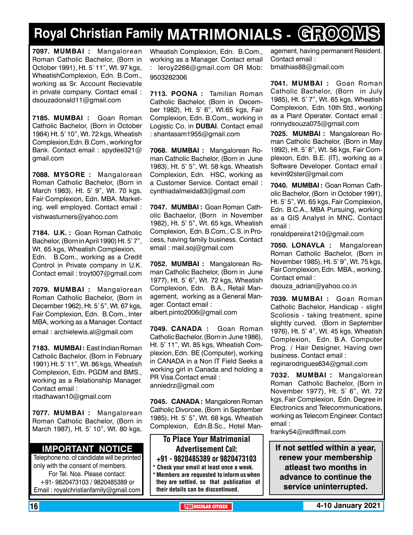## **Royal Christian Family MATRIMONIALS - GROOMS**

**7097. MUMBAI :** Mangalorean Roman Catholic Bachelor, (Born in October 1991), Ht. 5' 11", Wt. 97 kgs, WheatishComplexion, Edn. B.Com., working as Sr. Account Recievable in private company. Contact email : dsouzadonald11@gmail.com

**7185. MUMBAI :** Goan Roman Catholic Bachelor, (Born in October 1984) Ht. 5' 10", Wt. 72 kgs, Wheatish Complexion,Edn. B.Com., working for Bank. Contact email : spydee321@ gmail.com

**7088. MYSORE :** Mangalorean Roman Catholic Bachelor, (Born in March 1983), Ht. 5' 9", Wt. 70 kgs, Fair Complexion, Edn. MBA. Marketing. well employed. Contact email : vishwasturners@yahoo.com

**7184. U.K. :** Goan Roman Catholic Bachelor, (Born in April 1990) Ht. 5' 7", Wt. 65 kgs, Wheatish Complexion, Edn. B.Com., working as a Credit Control in Private company in U.K. Contact email : troyt007@gmail.com

**7079. MUMBAI :** Mangalorean Roman Catholic Bachelor, (Born in December 1962), Ht. 5' 5", Wt. 67 kgs, Fair Complexion, Edn. B.Com., Inter MBA, working as a Manager. Contact

email : archielewis.al@gmail.com

**7183. MUMBAI :** East Indian Roman Catholic Bachelor, (Born in February 1991) Ht. 5' 11", Wt. 86 kgs, Wheatish Complexion, Edn. PGDM and BMS., working as a Relationship Manager. Contact email :

ritadhawan10@gmail.com

**7077. MUMBAI :** Mangalorean Roman Catholic Bachelor, (Born in March 1987), Ht. 5' 10", Wt. 80 kgs,

#### **Important Notice**

Telephone no. of candidate will be printed only with the consent of members. For Tel. Nos. Please contact: +91- 9820473103 / 9820485389 or Email : royalchristianfamily@gmail.com

Wheatish Complexion, Edn. B.Com., working as a Manager. Contact email : leroy2266@gmail.com OR Mob: 9503282306

**7113. POONA :** Tamilian Roman Catholic Bachelor, (Born in December 1982), Ht. 5' 6", Wt.65 kgs, Fair Complexion, Edn. B.Com., working in Logistic Co. in **DUBAI**. Contact email : shantasam1955@gmail.com

**7068. MUMBAI :** Mangalorean Roman Catholic Bachelor, (Born in June 1983), Ht. 5' 5", Wt. 58 kgs, Wheatish Complexion, Edn. HSC, working as a Customer Service. Contact email : cynthiadalmeida83@gmail.com

**7047. MUMBAI :** Goan Roman Catholic Bachaelor, (Born in November 1982), Ht. 5' 5", Wt. 65 kgs, Wheatish Complexion, Edn. B.Com., C.S. in Process, having family business. Contact email : mail.soj@gmail.com

**7052. MUMBAI :** Mangalorean Roman Catholic Bachelor, (Born in June 1977), Ht. 5' 6", Wt. 72 kgs, Wheatish Complexion, Edn. B.A., Retail Management, working as a General Manager. Contact email : albert.pinto2006@gmail.com

**7049. CANADA :** Goan Roman Catholic Bachelor, (Born in June 1986), Ht. 5' 11", Wt. 85 kgs, Wheatish Complexion, Edn. BE (Computer), working in CANADA in a Non IT Field Seeks a working girl in Canada and holding a PR Visa.Contact email : anniedrz@gmail.com

**7045. CANADA :** Mangaloren Roman Catholic Divorcee, (Born in September 1985), Ht. 5' 5", Wt. 68 kgs, Wheatish Complexion, Edn.B.Sc., Hotel Man-

To Place Your Matrimonial Advertisement Call: +91 - 9820485389 or 9820473103

\* Check your email at least once a week. Members are requested to inform us when they are settled, so that publication of agement, having permanent Resident. Contact email : bmathias88@gmail.com

**7041. MUMBAI :** Goan Roman Catholic Bachelor, (Born in July 1985), Ht. 5' 7", Wt. 65 kgs, Wheatish Complexion, Edn. 10th Std., working as a Plant Operater. Contact email : ronnydsouza075@gmail.com

**7025. MUMBAI :** Mangalorean Roman Catholic Bachelor, (Born in May 1992), Ht. 5' 8", Wt. 56 kgs, Fair Complexion, Edn. B.E. (IT), working as a Software Developer. Contact email : kevin92ster@gmail.com

**7040. MUMBAI :** Goan Roman Catholic Bachelor, (Born in October 1991), Ht. 5' 5", Wt. 65 kgs, Fair Complexion, Edn. B.C.A., MBA Pursuing, working as a GIS Analyst in MNC. Contact email :

ronaldpereira1210@gmail.com

**7050. LONAVLA :** Mangalorean Roman Catholic Bachelor, (Born in November 1985), Ht. 5' 9", Wt. 75 kgs, Fair Complexion, Edn. MBA., working. Contact email :

dsouza\_adrian@yahoo.co.in

**7039. MUMBAI :** Goan Roman Catholic Bachelor, Handicap - slight Scoliosis - taking treatment, spine slightly curved. (Born in September 1976), Ht. 5' 4", Wt. 45 kgs, Wheatish Complexion, Edn. B.A. Computer Prog. / Hair Designer, Having own business. Contact email : reginarodrigues634@gmail.com

**7032. MUMBAI :** Mangalorean Roman Catholic Bachelor, (Born in November 1977), Ht. 5' 6", Wt. 72 kgs, Fair Complexion, Edn. Degree in Electronics and Telecommunications, working as Telecom Engineer. Contact email :

franky54@rediffmail.com

**If not settled within a year, renew your membership atleast two months in advance to continue the service uninterrupted.**

their details can be discontinued.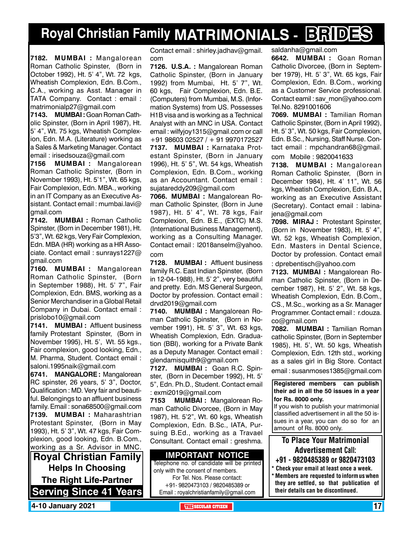## **Royal Christian Family MATRIMONIALS - BRIDES**

**7182. MUMBAI :** Mangalorean Roman Catholic Spinster, (Born in October 1992), Ht. 5' 4", Wt. 72 kgs, Wheatish Complexion, Edn. B.Com., C.A., working as Asst. Manager in TATA Company. Contact : email : matrimonialp27@gmail.com

**7143. MUMBAI :** Goan Roman Catholic Spinster, (Born in April 1987), Ht. 5' 4", Wt. 75 kgs, Wheatish Complexion, Edn. M.A. (Literature) working as a Sales & Marketing Manager. Contact email : irisedsouza@gmail.com

**7156 MUMBAI :** Mangalorean Roman Catholic Spinster, (Born in November 1993), Ht. 5'1", Wt. 65 kgs, Fair Complexion, Edn. MBA., working in an IT Company as an Executive Assistant. Contact email : mumbai.lavi@ gmail.com

**7142. MUMBAI :** Roman Catholic Spinster, (Born in December 1981), Ht. 5'3", Wt. 62 kgs, Very Fair Complexion, Edn. MBA (HR) working as a HR Associate. Contact email : sunrays1227@ gmail.com

**7160. MUMBAI :** Mangalorean Roman Catholic Spinster, (Born in September 1988), Ht. 5' 7", Fair Complexion, Edn. BMS, working as a Senior Merchandiser in a Global Retail Company in Dubai. Contact email : prislobo10@gmail.com

**7141. MUMBAI :** Affluent business family Protestant Spinster, (Born in November 1995), Ht. 5', Wt. 55 kgs., Fair complexion, good looking, Edn., M. Pharma, Student. Contact email : saloni.1995naik@gmail.com

**6741. MANGALORE :** Mangalorean RC spinster, 26 years, 5' 3", Doctor, Qualification : MD. Very fair and beautiful. Belongings to an affluent business family. Email : sona68500@gmail.com **7139. MUMBAI :** Maharashtrian Protestant Spinster, (Born in May 1993), Ht. 5' 3", Wt. 47 kgs, Fair Complexion, good looking, Edn. B.Com., working as a Sr. Advisor in MNC.

**Royal Christian Family Helps In Choosing The Right Life-Partner Serving Since 41 Years** Contact email : shirley.jadhav@gmail. com

**7126. U.S.A. :** Mangalorean Roman Catholic Spinster, (Born in January 1992) from Mumbai, Ht. 5' 7", Wt. 60 kgs, Fair Complexion, Edn. B.E. (Computers) from Mumbai, M.S. (Information Systems) from US. Possesses H1B visa and is working as a Technical Analyst with an MNC in USA. Contact email : wilfyjoy1315@gmail.com or call +91 98603 02527 / + 91 9970172527 **7137. MUMBAI :** Karnataka Protestant Spinster, (Born in January 1996), Ht. 5' 5", Wt. 54 kgs, Wheatish Complexion, Edn. B.Com., working as an Accountant. Contact email : sujatareddy209@gmail.com

**7066. MUMBAI :** Mangalorean Roman Catholic Spinster, (Born in June 1987), Ht. 5' 4", Wt. 78 kgs, Fair Complexion, Edn. B.E., (EXTC) M.S. (International Business Management), working as a Consulting Manager. Contact email : l2018anselm@yahoo. com

**7128. MUMBAI :** Affluent business family R.C. East Indian Spinster, (Born in 12-04-1988), Ht. 5' 2", very beautiful and pretty. Edn. MS General Surgeon, Doctor by profession. Contact email : drvd2019@gmail.com

**7140. MUMBAI :** Mangalorean Roman Catholic Spinster, (Born in November 1991), Ht. 5' 3", Wt. 63 kgs, Wheatish Complexion, Edn. Graduation (BBI), working for a Private Bank as a Deputy Manager. Contact email : glendamisquith9@gmail.com

**7127. MUMBAI :** Goan R.C. Spinster, (Born in December 1992), Ht. 5' 5", Edn. Ph.D., Student. Contact email : exmi2019@gmail.com

**7153 MUMBAI :** Mangalorean Roman Catholic Divorcee, (Born in May 1987), Ht. 5'2", Wt. 60 kgs, Wheatish Complexion, Edn. B.Sc., IATA, Pursuing B.Ed., working as a Travael Consultant. Contact email : greshma.

**Important Notice** Telephone no. of candidate will be printed only with the consent of members. For Tel. Nos. Please contact: +91- 9820473103 / 9820485389 or Email : royalchristianfamily@gmail.com

saldanha@gmail.com

**6642. MUMBAI :** Goan Roman Catholic Divorcee, (Born in September 1979), Ht. 5' 3", Wt. 65 kgs, Fair Complexion, Edn. B.Com., working as a Customer Service professional. Contact eamil : sav\_mon@yahoo.com Tel.No. 8291001606

**7069. MUMBAI :** Tamilian Roman Catholic Spinster, (Born in April 1992), Ht. 5' 3", Wt. 50 kgs, Fair Complexion, Edn. B.Sc., Nursing, Staff Nurse. Contact email : mpchandran68@gmail.

com Mobile : 9820041633

**7138. MUMBAI :** Mangalorean Roman Catholic Spinster, (Born in December 1984), Ht. 4' 11", Wt. 56 kgs, Wheatish Complexion, Edn. B.A., working as an Executive Assistant (Secretary). Contact email : labinajena@gmail.com

**7098. MIRAJ :** Protestant Spinster, (Born in November 1983), Ht. 5' 4", Wt. 52 kgs, Wheatish Complexion, Edn. Masters in Dental Science, Doctor by profession. Contact email

: dprebentisch@yahoo.com

**7123. MUMBAI :** Mangalorean Roman Catholic Spinster, (Born in December 1987), Ht. 5' 2", Wt. 58 kgs, Wheatish Complexion, Edn. B.Com., CS., M.Sc., working as a Sr. Manager Programmer. Contact email : r.douza. co@gmail.com

**7082. MUMBAI :** Tamilian Roman catholic Spinster, (Born in September 1985), Ht. 5', Wt. 50 kgs, Wheatish Complexion, Edn. 12th std., working as a sales girl in Big Store. Contact

email : susanmoses1385@gmail.com

**Registered members can publish their ad in all the 50 issues in a year for Rs. 8000 only.**

If you wish to publish your matrimonial classified advertisement in all the 50 issues in a year, you can do so for an amount of Rs. 8000 only.

### To Place Your Matrimonial Advertisement Call:

- +91 9820485389 or 9820473103
- \* Check your email at least once a week. \* Members are requested to inform us when they are settled, so that publication of their details can be discontinued.

**4-10 January 2021 • THE RESERVE SECULAR CITIZEN THE** SECULAR CITIZEN **17**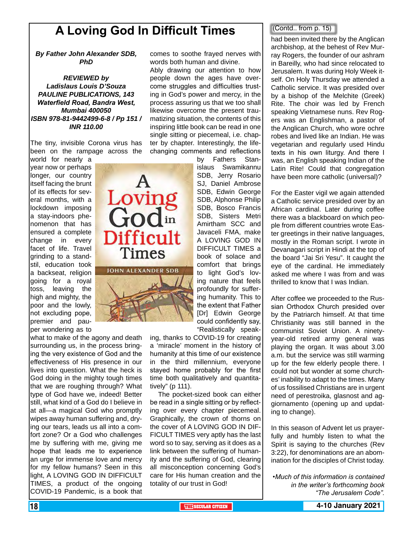## **A Loving God In Difficult Times** and Contail from p. 15)

Loving<br>God<sup>in</sup>

**Difficult** 

**Times** 

**JOHN ALEXANDER SDB** 

*By Father John Alexander SDB, PhD*

*REVIEWED by Ladislaus Louis D'Souza PAULINE PUBLICATIONS, 143 Waterfield Road, Bandra West, Mumbai 400050 ISBN 978-81-9442499-6-8 / Pp 151 / INR 110.00*

The tiny, invisible Corona virus has been on the rampage across the

world for nearly a year now or perhaps longer, our country itself facing the brunt of its effects for several months, with a lockdown imposing a stay-indoors phenomenon that has ensured a complete change in every facet of life. Travel grinding to a standstil, education took a backseat, religion going for a royal toss, leaving the high and mighty, the poor and the lowly, not excluding pope, premier and pauper wondering as to

what to make of the agony and death surrounding us, in the process bringing the very existence of God and the effectiveness of His presence in our lives into question. What the heck is God doing in the mighty tough times that we are roughing through? What type of God have we, indeed! Better still, what kind of a God do I believe in at all—a magical God who promptly wipes away human suffering and, drying our tears, leads us all into a comfort zone? Or a God who challenges me by suffering with me, giving me hope that leads me to experience an urge for immense love and mercy for my fellow humans? Seen in this light, A LOVING GOD IN DIFFICULT TIMES, a product of the ongoing COVID-19 Pandemic, is a book that

comes to soothe frayed nerves with words both human and divine.

Ably drawing our attention to how people down the ages have overcome struggles and difficulties trusting in God's power and mercy, in the process assuring us that we too shall likewise overcome the present traumatizing situation, the contents of this inspiring little book can be read in one single sitting or piecemeal, i.e. chapter by chapter. Interestingly, the lifechanging comments and reflections

by Fathers Stanislaus Swamikannu SDB, Jerry Rosario SJ, Daniel Ambrose SDB, Edwin George SDB, Alphonse Philip SDB, Bosco Francis SDB, Sisters Metri Amirtham SCC and Javaceli FMA, make A LOVING GOD IN DIFFICULT TIMES a book of solace and comfort that brings to light God's loving nature that feels profoundly for suffering humanity. This to the extent that Father [Dr] Edwin George could confidently say, "Realistically speak-

ing, thanks to COVID-19 for creating a 'miracle' moment in the history of humanity at this time of our existence in the third millennium, everyone stayed home probably for the first time both qualitatively and quantitatively" (p 111).

 The pocket-sized book can either be read in a single sitting or by reflecting over every chapter piecemeal. Graphically, the crown of thorns on the cover of A LOVING GOD IN DIF-FICULT TIMES very aptly has the last word so to say, serving as it does as a link between the suffering of humanity and the suffering of God, clearing all misconception concerning God's care for His human creation and the totality of our trust in God!

#### (Contd.. from p. 15)

archbishop, at the behest of Rev Murray Rogers, the founder of our ashram in Bareilly, who had since relocated to Jerusalem. It was during Holy Week itself. On Holy Thursday we attended a Catholic service. It was presided over by a bishop of the Melchite (Greek) Rite. The choir was led by French speaking Vietnamese nuns. Rev Rogers was an Englishman, a pastor of the Anglican Church, who wore ochre robes and lived like an Indian. He was vegetarian and regularly used Hindu texts in his own liturgy. And there I was, an English speaking Indian of the Latin Rite! Could that congregation have been more catholic (universal)?

For the Easter vigil we again attended a Catholic service presided over by an African cardinal. Later during coffee there was a blackboard on which people from different countries wrote Easter greetings in their native languages, mostly in the Roman script. I wrote in Devanagari script in Hindi at the top of the board "Jai Sri Yesu". It caught the eye of the cardinal. He immediately asked me where I was from and was thrilled to know that I was Indian.

After coffee we proceeded to the Russian Orthodox Church presided over by the Patriarch himself. At that time Christianity was still banned in the communist Soviet Union. A ninetyyear-old retired army general was playing the organ. It was about 3.00 a.m. but the service was still warming up for the few elderly people there. I could not but wonder at some churches' inability to adapt to the times. Many of us fossilised Christians are in urgent need of perestroika, glasnost and aggiornamento (opening up and updating to change).

In this season of Advent let us prayerfully and humbly listen to what the Spirit is saying to the churches (Rev 3:22), for denominations are an abomination for the disciples of Christ today.

*•Much of this information is contained in the writer's forthcoming book "The Jerusalem Code".*

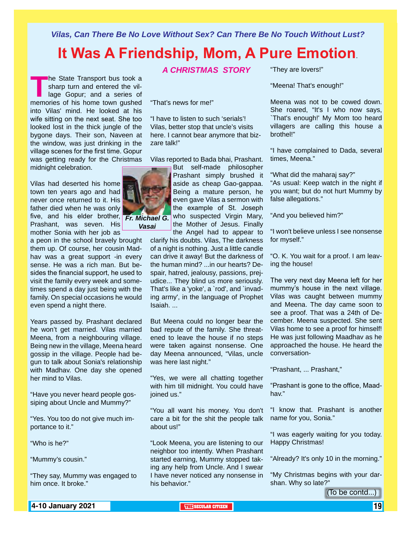*Vilas, Can There Be No Love Without Sex? Can There Be No Touch Without Lust?*

## **It Was A Friendship, Mom, A Pure Emotion**.

**The State Transport bus took a**<br>
sharp turn and entered the vil-<br>
lage Gopur; and a series of<br>
memories of his home town gushed sharp turn and entered the village Gopur; and a series of into Vilas' mind. He looked at his wife sitting on the next seat. She too looked lost in the thick jungle of the bygone days. Their son, Naveen at the window, was just drinking in the village scenes for the first time. Gopur was getting ready for the Christmas midnight celebration.

Vilas had deserted his home town ten years ago and had never once returned to it. His father died when he was only five, and his elder brother, *Fr. Michael G.*  Prashant, was seven. His mother Sonia with her job as

a peon in the school bravely brought them up. Of course, her cousin Madhav was a great support -in every sense. He was a rich man. But besides the financial support, he used to visit the family every week and sometimes spend a day just being with the family. On special occasions he would even spend a night there.

Years passed by. Prashant declared he won't get married. Vilas married Meena, from a neighbouring village. Being new in the village, Meena heard gossip in the village. People had begun to talk about Sonia's relationship with Madhav. One day she opened her mind to Vilas.

"Have you never heard people gossiping about Uncle and Mummy?"

"Yes. You too do not give much importance to it."

"Who is he?"

"Mummy's cousin."

"They say, Mummy was engaged to him once. It broke."

*A CHRISTMAS STORY*

"That's news for me!"

"I have to listen to such 'serials'! Vilas, better stop that uncle's visits here. I cannot bear anymore that bizzare talk!"

Vilas reported to Bada bhai, Prashant.

*Vasai*

But self-made philosopher Prashant simply brushed it aside as cheap Gao-gappaa. Being a mature person, he even gave Vilas a sermon with the example of St. Joseph who suspected Virgin Mary, the Mother of Jesus. Finally the Angel had to appear to

clarify his doubts. Vilas, The darkness of a night is nothing. Just a little candle can drive it away! But the darkness of the human mind? ...in our hearts? Despair, hatred, jealousy, passions, prejudice... They blind us more seriously. That's like a 'yoke', a `rod', and `invading army', in the language of Prophet Isaiah. ...

But Meena could no longer bear the bad repute of the family. She threatened to leave the house if no steps were taken against nonsense. One day Meena announced, "Vilas, uncle was here last night."

"Yes, we were all chatting together with him till midnight. You could have joined us."

"You all want his money. You don't care a bit for the shit the people talk about us!"

"Look Meena, you are listening to our neighbor too intently. When Prashant started earning, Mummy stopped taking any help from Uncle. And I swear I have never noticed any nonsense in his behavior."

"They are lovers!"

"Meena! That's enough!"

Meena was not to be cowed down. She roared, "It's I who now says, `That's enough!' My Mom too heard villagers are calling this house a brothel!"

"I have complained to Dada, several times, Meena."

"What did the maharaj say?" "As usual: Keep watch in the night if you want; but do not hurt Mummy by false allegations."

"And you believed him?"

"I won't believe unless I see nonsense for myself."

"O. K. You wait for a proof. I am leaving the house!

The very next day Meena left for her mummy's house in the next village. Vilas was caught between mummy and Meena. The day came soon to see a proof. That was a 24th of December. Meena suspected. She sent Vilas home to see a proof for himself! He was just following Maadhav as he approached the house. He heard the conversation-

"Prashant, ... Prashant,"

"Prashant is gone to the office, Maadhav."

"I know that. Prashant is another name for you, Sonia."

"I was eagerly waiting for you today. Happy Christmas!

"Already? It's only 10 in the morning."

"My Christmas begins with your darshan. Why so late?"

(To be contd...)